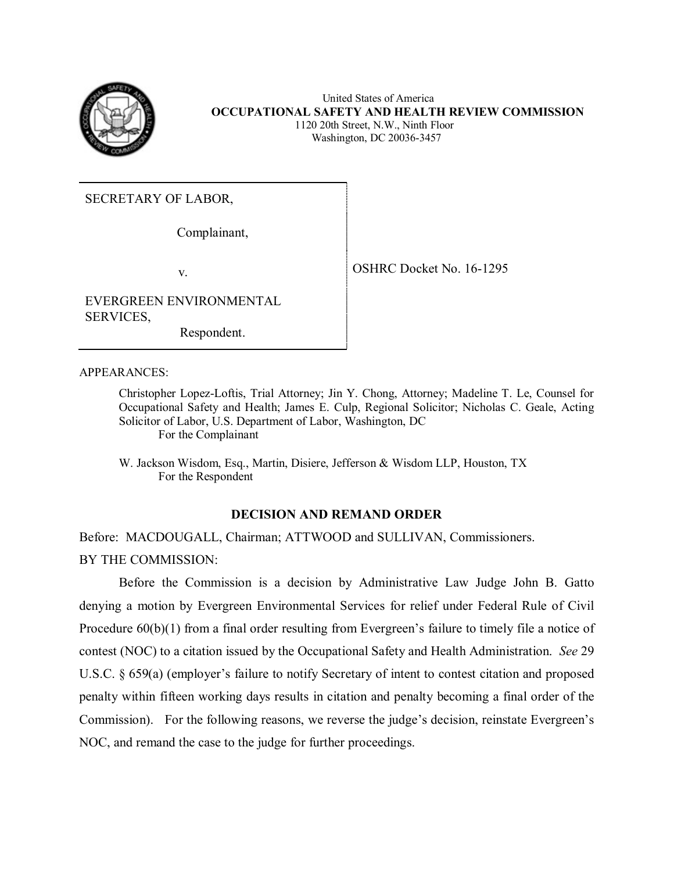

 United States of America **OCCUPATIONAL SAFETY AND HEALTH REVIEW COMMISSION** 1120 20th Street, N.W., Ninth Floor Washington, DC 20036-3457

SECRETARY OF LABOR,

Complainant,

v. Solution of the SHRC Docket No. 16-1295

EVERGREEN ENVIRONMENTAL SERVICES,

Respondent.

APPEARANCES:

Christopher Lopez-Loftis, Trial Attorney; Jin Y. Chong, Attorney; Madeline T. Le, Counsel for Occupational Safety and Health; James E. Culp, Regional Solicitor; Nicholas C. Geale, Acting Solicitor of Labor, U.S. Department of Labor, Washington, DC For the Complainant

W. Jackson Wisdom, Esq., Martin, Disiere, Jefferson & Wisdom LLP, Houston, TX For the Respondent

## **DECISION AND REMAND ORDER**

Before: MACDOUGALL, Chairman; ATTWOOD and SULLIVAN, Commissioners. BY THE COMMISSION:

Before the Commission is a decision by Administrative Law Judge John B. Gatto denying a motion by Evergreen Environmental Services for relief under Federal Rule of Civil Procedure  $60(b)(1)$  from a final order resulting from Evergreen's failure to timely file a notice of contest (NOC) to a citation issued by the Occupational Safety and Health Administration. *See* 29 U.S.C. § 659(a) (employer's failure to notify Secretary of intent to contest citation and proposed penalty within fifteen working days results in citation and penalty becoming a final order of the Commission). For the following reasons, we reverse the judge's decision, reinstate Evergreen's NOC, and remand the case to the judge for further proceedings.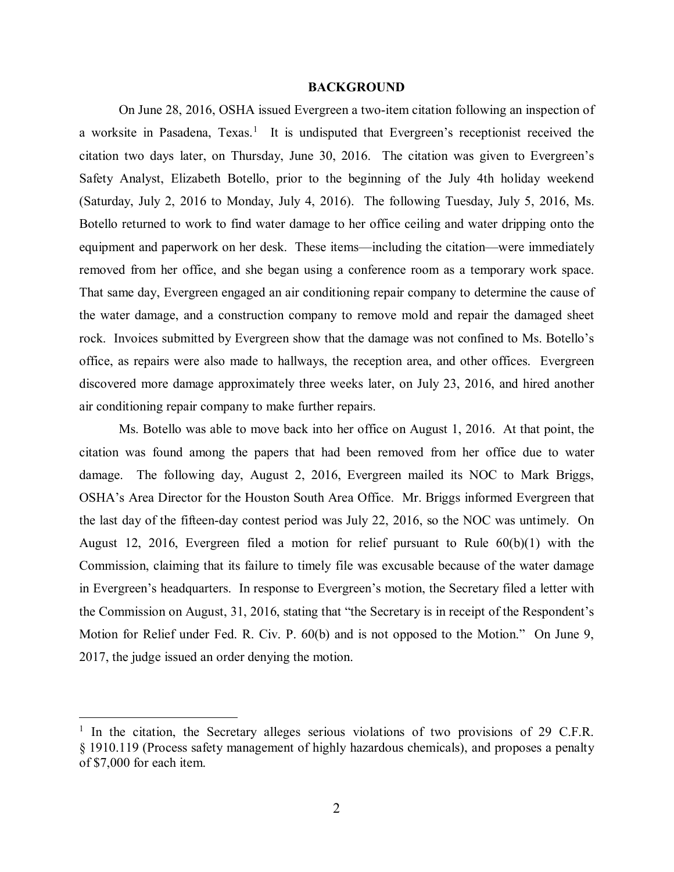#### **BACKGROUND**

On June 28, 2016, OSHA issued Evergreen a two-item citation following an inspection of a worksite in Pasadena, Texas.<sup>[1](#page-1-0)</sup> It is undisputed that Evergreen's receptionist received the citation two days later, on Thursday, June 30, 2016. The citation was given to Evergreen's Safety Analyst, Elizabeth Botello, prior to the beginning of the July 4th holiday weekend (Saturday, July 2, 2016 to Monday, July 4, 2016). The following Tuesday, July 5, 2016, Ms. Botello returned to work to find water damage to her office ceiling and water dripping onto the equipment and paperwork on her desk. These items—including the citation—were immediately removed from her office, and she began using a conference room as a temporary work space. That same day, Evergreen engaged an air conditioning repair company to determine the cause of the water damage, and a construction company to remove mold and repair the damaged sheet rock. Invoices submitted by Evergreen show that the damage was not confined to Ms. Botello's office, as repairs were also made to hallways, the reception area, and other offices. Evergreen discovered more damage approximately three weeks later, on July 23, 2016, and hired another air conditioning repair company to make further repairs.

Ms. Botello was able to move back into her office on August 1, 2016. At that point, the citation was found among the papers that had been removed from her office due to water damage. The following day, August 2, 2016, Evergreen mailed its NOC to Mark Briggs, OSHA's Area Director for the Houston South Area Office. Mr. Briggs informed Evergreen that the last day of the fifteen-day contest period was July 22, 2016, so the NOC was untimely. On August 12, 2016, Evergreen filed a motion for relief pursuant to Rule 60(b)(1) with the Commission, claiming that its failure to timely file was excusable because of the water damage in Evergreen's headquarters. In response to Evergreen's motion, the Secretary filed a letter with the Commission on August, 31, 2016, stating that "the Secretary is in receipt of the Respondent's Motion for Relief under Fed. R. Civ. P. 60(b) and is not opposed to the Motion." On June 9, 2017, the judge issued an order denying the motion.

<span id="page-1-0"></span> $1$  In the citation, the Secretary alleges serious violations of two provisions of 29 C.F.R. § 1910.119 (Process safety management of highly hazardous chemicals), and proposes a penalty of \$7,000 for each item.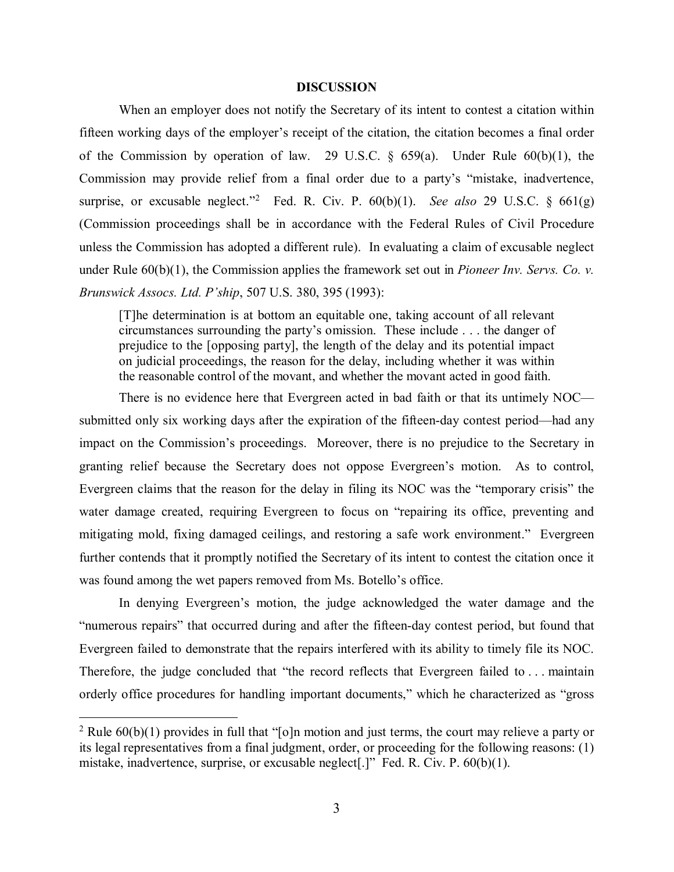### **DISCUSSION**

When an employer does not notify the Secretary of its intent to contest a citation within fifteen working days of the employer's receipt of the citation, the citation becomes a final order of the Commission by operation of law. 29 U.S.C.  $\S$  659(a). Under Rule 60(b)(1), the Commission may provide relief from a final order due to a party's "mistake, inadvertence, surprise, or excusable neglect."[2](#page-2-0) Fed. R. Civ. P. 60(b)(1). *See also* 29 U.S.C. § 661(g) (Commission proceedings shall be in accordance with the Federal Rules of Civil Procedure unless the Commission has adopted a different rule). In evaluating a claim of excusable neglect under Rule 60(b)(1), the Commission applies the framework set out in *Pioneer Inv. Servs. Co. v. Brunswick Assocs. Ltd. P'ship*, 507 U.S. 380, 395 (1993):

[T]he determination is at bottom an equitable one, taking account of all relevant circumstances surrounding the party's omission. These include . . . the danger of prejudice to the [opposing party], the length of the delay and its potential impact on judicial proceedings, the reason for the delay, including whether it was within the reasonable control of the movant, and whether the movant acted in good faith.

There is no evidence here that Evergreen acted in bad faith or that its untimely NOC submitted only six working days after the expiration of the fifteen-day contest period—had any impact on the Commission's proceedings. Moreover, there is no prejudice to the Secretary in granting relief because the Secretary does not oppose Evergreen's motion. As to control, Evergreen claims that the reason for the delay in filing its NOC was the "temporary crisis" the water damage created, requiring Evergreen to focus on "repairing its office, preventing and mitigating mold, fixing damaged ceilings, and restoring a safe work environment." Evergreen further contends that it promptly notified the Secretary of its intent to contest the citation once it was found among the wet papers removed from Ms. Botello's office.

In denying Evergreen's motion, the judge acknowledged the water damage and the "numerous repairs" that occurred during and after the fifteen-day contest period, but found that Evergreen failed to demonstrate that the repairs interfered with its ability to timely file its NOC. Therefore, the judge concluded that "the record reflects that Evergreen failed to . . . maintain orderly office procedures for handling important documents," which he characterized as "gross

<span id="page-2-0"></span><sup>&</sup>lt;sup>2</sup> Rule  $60(b)(1)$  provides in full that "[o]n motion and just terms, the court may relieve a party or its legal representatives from a final judgment, order, or proceeding for the following reasons: (1) mistake, inadvertence, surprise, or excusable neglect[.]" Fed. R. Civ. P. 60(b)(1).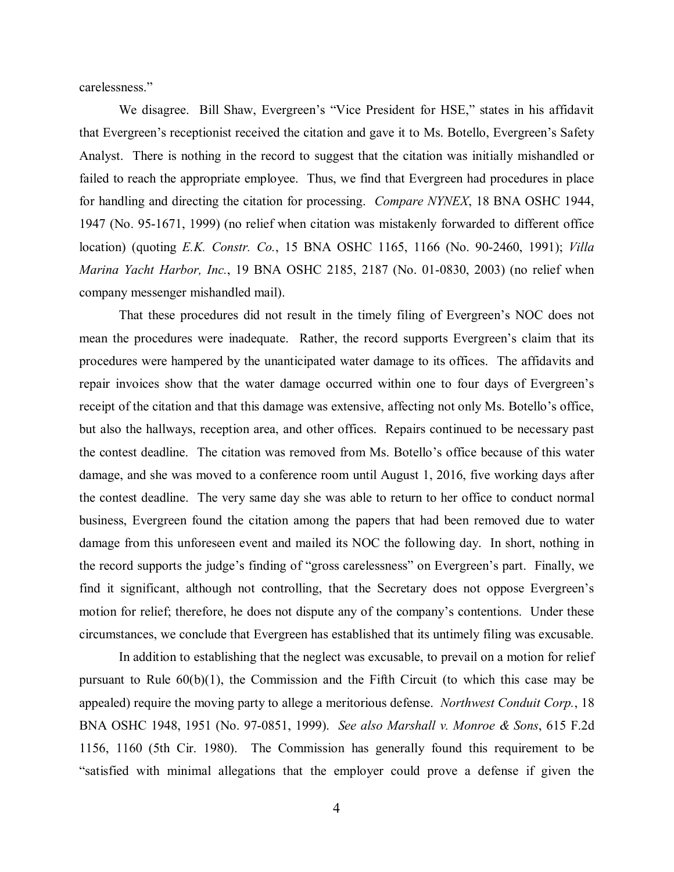carelessness."

We disagree. Bill Shaw, Evergreen's "Vice President for HSE," states in his affidavit that Evergreen's receptionist received the citation and gave it to Ms. Botello, Evergreen's Safety Analyst. There is nothing in the record to suggest that the citation was initially mishandled or failed to reach the appropriate employee. Thus, we find that Evergreen had procedures in place for handling and directing the citation for processing. *Compare NYNEX*, 18 BNA OSHC 1944, 1947 (No. 95-1671, 1999) (no relief when citation was mistakenly forwarded to different office location) (quoting *E.K. Constr. Co.*, 15 BNA OSHC 1165, 1166 (No. 90-2460, 1991); *Villa Marina Yacht Harbor, Inc.*, 19 BNA OSHC 2185, 2187 (No. 01-0830, 2003) (no relief when company messenger mishandled mail).

That these procedures did not result in the timely filing of Evergreen's NOC does not mean the procedures were inadequate. Rather, the record supports Evergreen's claim that its procedures were hampered by the unanticipated water damage to its offices. The affidavits and repair invoices show that the water damage occurred within one to four days of Evergreen's receipt of the citation and that this damage was extensive, affecting not only Ms. Botello's office, but also the hallways, reception area, and other offices. Repairs continued to be necessary past the contest deadline. The citation was removed from Ms. Botello's office because of this water damage, and she was moved to a conference room until August 1, 2016, five working days after the contest deadline. The very same day she was able to return to her office to conduct normal business, Evergreen found the citation among the papers that had been removed due to water damage from this unforeseen event and mailed its NOC the following day. In short, nothing in the record supports the judge's finding of "gross carelessness" on Evergreen's part. Finally, we find it significant, although not controlling, that the Secretary does not oppose Evergreen's motion for relief; therefore, he does not dispute any of the company's contentions. Under these circumstances, we conclude that Evergreen has established that its untimely filing was excusable.

In addition to establishing that the neglect was excusable, to prevail on a motion for relief pursuant to Rule  $60(b)(1)$ , the Commission and the Fifth Circuit (to which this case may be appealed) require the moving party to allege a meritorious defense. *Northwest Conduit Corp.*, 18 BNA OSHC 1948, 1951 (No. 97-0851, 1999). *See also Marshall v. Monroe & Sons*, 615 F.2d 1156, 1160 (5th Cir. 1980). The Commission has generally found this requirement to be "satisfied with minimal allegations that the employer could prove a defense if given the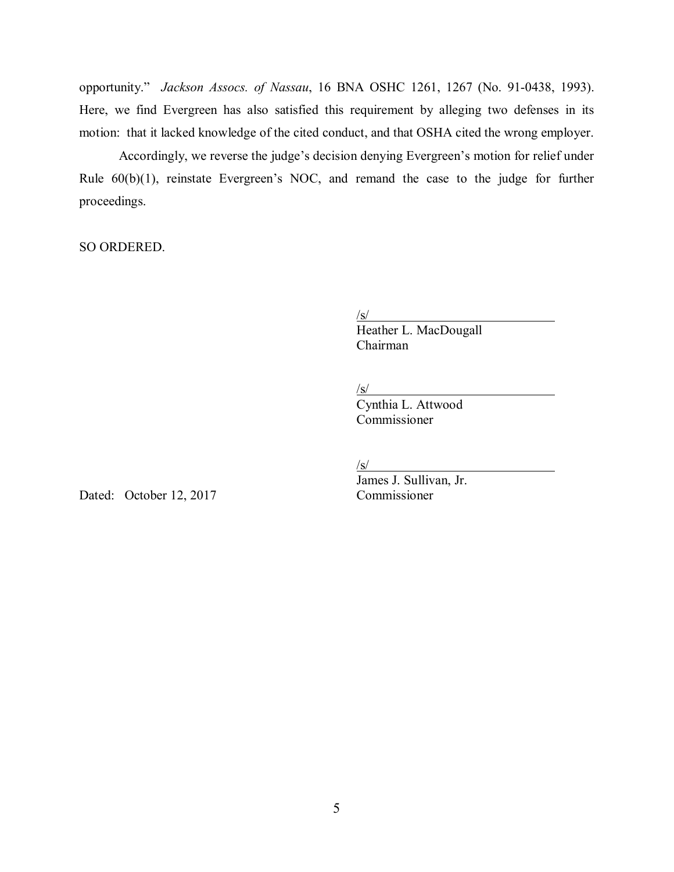opportunity." *Jackson Assocs. of Nassau*, 16 BNA OSHC 1261, 1267 (No. 91-0438, 1993). Here, we find Evergreen has also satisfied this requirement by alleging two defenses in its motion: that it lacked knowledge of the cited conduct, and that OSHA cited the wrong employer.

Accordingly, we reverse the judge's decision denying Evergreen's motion for relief under Rule 60(b)(1), reinstate Evergreen's NOC, and remand the case to the judge for further proceedings.

SO ORDERED.

 $\sqrt{s/2}$ 

Heather L. MacDougall Chairman

 $\sqrt{s/2}$ 

Cynthia L. Attwood Commissioner

 $\sqrt{s/2}$ 

Dated: October 12, 2017 Commissioner

James J. Sullivan, Jr.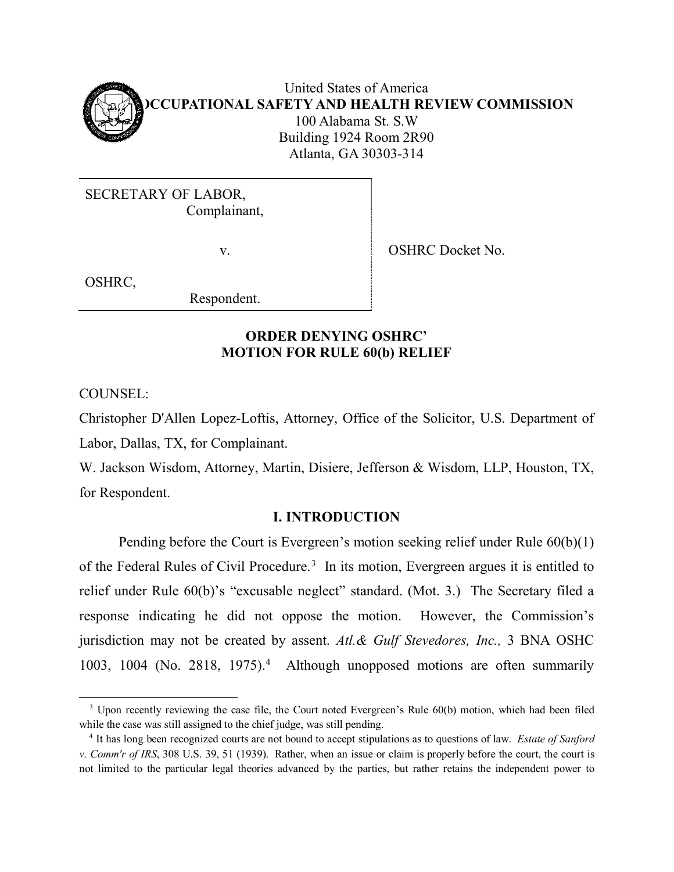

United States of America **OCCUPATIONAL SAFETY AND HEALTH REVIEW COMMISSION** 100 Alabama St. S.W Building 1924 Room 2R90 Atlanta, GA 30303-314

SECRETARY OF LABOR, Complainant,

v. SHRC Docket No.

OSHRC,

Respondent.

# **ORDER DENYING OSHRC' MOTION FOR RULE 60(b) RELIEF**

COUNSEL:

Christopher D'Allen Lopez-Loftis, Attorney, Office of the Solicitor, U.S. Department of Labor, Dallas, TX, for Complainant.

W. Jackson Wisdom, Attorney, Martin, Disiere, Jefferson & Wisdom, LLP, Houston, TX, for Respondent.

# **I. INTRODUCTION**

Pending before the Court is Evergreen's motion seeking relief under Rule 60(b)(1) of the Federal Rules of Civil Procedure.<sup>[3](#page-5-0)</sup> In its motion, Evergreen argues it is entitled to relief under Rule 60(b)'s "excusable neglect" standard. (Mot. 3.) The Secretary filed a response indicating he did not oppose the motion. However, the Commission's jurisdiction may not be created by assent. *Atl.& Gulf Stevedores, Inc.,* 3 BNA OSHC 1003, 1004 (No. 2818, 1975). [4](#page-5-1) Although unopposed motions are often summarily

<span id="page-5-0"></span><sup>&</sup>lt;sup>3</sup> Upon recently reviewing the case file, the Court noted Evergreen's Rule 60(b) motion, which had been filed while the case was still assigned to the chief judge, was still pending.<br><sup>4</sup> It has long been recognized courts are not bound to accept stipulations as to questions of law. *Estate of Sanford* 

<span id="page-5-1"></span>*v. Comm'r of IRS*, 308 U.S. 39, 51 (1939). Rather, when an issue or claim is properly before the court, the court is not limited to the particular legal theories advanced by the parties, but rather retains the independent power to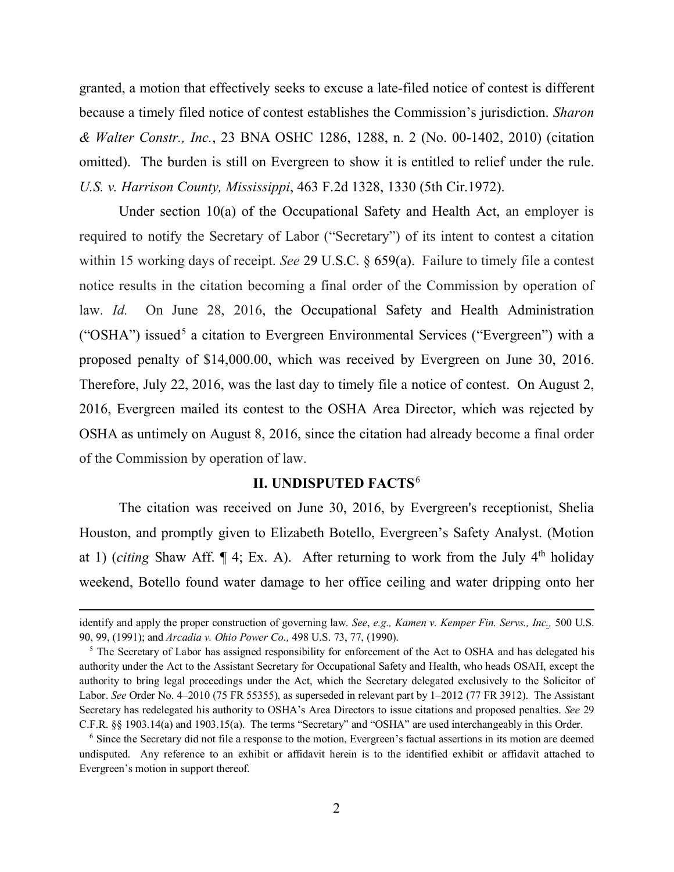granted, a motion that effectively seeks to excuse a late-filed notice of contest is different because a timely filed notice of contest establishes the Commission's jurisdiction. *Sharon & Walter Constr., Inc.*, 23 BNA OSHC 1286, 1288, n. 2 (No. 00-1402, 2010) (citation omitted). The burden is still on Evergreen to show it is entitled to relief under the rule. *U.S. v. Harrison County, Mississippi*, 463 F.2d 1328, 1330 (5th Cir.1972).

Under section 10(a) of the Occupational Safety and Health Act, an employer is required to notify the Secretary of Labor ("Secretary") of its intent to contest a citation within 15 working days of receipt. *See* 29 U.S.C. § 659(a). Failure to timely file a contest notice results in the citation becoming a final order of the Commission by operation of law. *Id.* On June 28, 2016, the Occupational Safety and Health Administration ("OSHA") issued<sup>[5](#page-6-0)</sup> a citation to Evergreen Environmental Services ("Evergreen") with a proposed penalty of \$14,000.00, which was received by Evergreen on June 30, 2016. Therefore, July 22, 2016, was the last day to timely file a notice of contest. On August 2, 2016, Evergreen mailed its contest to the OSHA Area Director, which was rejected by OSHA as untimely on August 8, 2016, since the citation had already become a final order of the Commission by operation of law.

## **II. UNDISPUTED FACTS**[6](#page-6-1)

The citation was received on June 30, 2016, by Evergreen's receptionist, Shelia Houston, and promptly given to Elizabeth Botello, Evergreen's Safety Analyst. (Motion at 1) (*citing* Shaw Aff.  $\P$  4; Ex. A). After returning to work from the July 4<sup>th</sup> holiday weekend, Botello found water damage to her office ceiling and water dripping onto her

 $\overline{a}$ 

identify and apply the proper construction of governing law. *See*, *e.g., Kamen v. Kemper Fin. Servs., Inc.,* 500 U.S. 90, 99, (1991); and *Arcadia v. Ohio Power Co.,* 498 U.S. 73, 77, (1990).

<span id="page-6-0"></span><sup>&</sup>lt;sup>5</sup> The Secretary of Labor has assigned responsibility for enforcement of the Act to OSHA and has delegated his authority under the Act to the Assistant Secretary for Occupational Safety and Health, who heads OSAH, except the authority to bring legal proceedings under the Act, which the Secretary delegated exclusively to the Solicitor of Labor. *See* Order No. 4–2010 (75 FR 55355), as superseded in relevant part by 1–2012 (77 FR 3912). The Assistant Secretary has redelegated his authority to OSHA's Area Directors to issue citations and proposed penalties. *See* 29 C.F.R. §§ 1903.14(a) and 1903.15(a). The terms "Secretary" and "OSHA" are used interchangeably in this Order.

<span id="page-6-1"></span><sup>6</sup> Since the Secretary did not file a response to the motion, Evergreen's factual assertions in its motion are deemed undisputed. Any reference to an exhibit or affidavit herein is to the identified exhibit or affidavit attached to Evergreen's motion in support thereof.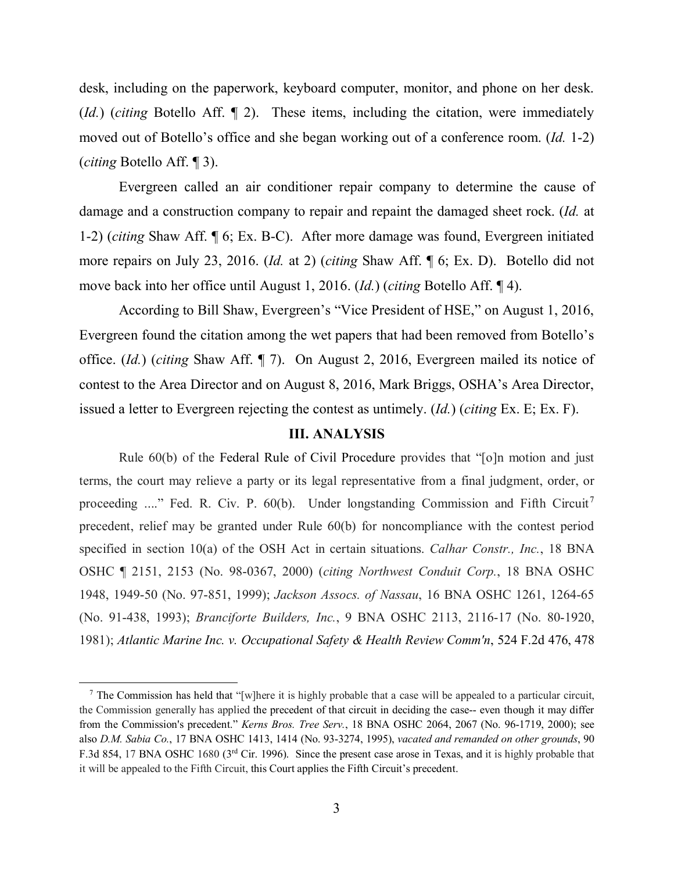desk, including on the paperwork, keyboard computer, monitor, and phone on her desk. (*Id.*) (*citing* Botello Aff. ¶ 2). These items, including the citation, were immediately moved out of Botello's office and she began working out of a conference room. (*Id.* 1-2) (*citing* Botello Aff. ¶ 3).

Evergreen called an air conditioner repair company to determine the cause of damage and a construction company to repair and repaint the damaged sheet rock. (*Id.* at 1-2) (*citing* Shaw Aff. ¶ 6; Ex. B-C). After more damage was found, Evergreen initiated more repairs on July 23, 2016. (*Id.* at 2) (*citing* Shaw Aff. ¶ 6; Ex. D). Botello did not move back into her office until August 1, 2016. (*Id.*) (*citing* Botello Aff. ¶ 4).

According to Bill Shaw, Evergreen's "Vice President of HSE," on August 1, 2016, Evergreen found the citation among the wet papers that had been removed from Botello's office. (*Id.*) (*citing* Shaw Aff. ¶ 7). On August 2, 2016, Evergreen mailed its notice of contest to the Area Director and on August 8, 2016, Mark Briggs, OSHA's Area Director, issued a letter to Evergreen rejecting the contest as untimely. (*Id.*) (*citing* Ex. E; Ex. F).

### **III. ANALYSIS**

Rule 60(b) of the Federal Rule of Civil Procedure provides that "[o]n motion and just terms, the court may relieve a party or its legal representative from a final judgment, order, or proceeding ...." Fed. R. Civ. P. 60(b). Under longstanding Commission and Fifth Circuit<sup>[7](#page-7-0)</sup> precedent, relief may be granted under Rule 60(b) for noncompliance with the contest period specified in section 10(a) of the OSH Act in certain situations. *Calhar Constr., Inc.*, 18 BNA OSHC ¶ 2151, 2153 (No. 98-0367, 2000) (*citing Northwest Conduit Corp.*, 18 BNA OSHC 1948, 1949-50 (No. 97-851, 1999); *Jackson Assocs. of Nassau*, 16 BNA OSHC 1261, 1264-65 (No. 91-438, 1993); *Branciforte Builders, Inc.*, 9 BNA OSHC 2113, 2116-17 (No. 80-1920, 1981); *Atlantic Marine Inc. v. Occupational Safety & Health Review Comm'n*, 524 F.2d 476, 478

<span id="page-7-0"></span>The Commission has held that "[w]here it is highly probable that a case will be appealed to a particular circuit, the Commission generally has applied the precedent of that circuit in deciding the case-- even though it may differ from the Commission's precedent." *Kerns Bros. Tree Serv.*, 18 BNA OSHC 2064, 2067 (No. 96-1719, 2000); see also *D.M. Sabia Co.*, 17 BNA OSHC 1413, 1414 (No. 93-3274, 1995), *vacated and remanded on other grounds*, 90 F.3d 854, 17 BNA OSHC 1680 (3<sup>rd</sup> Cir. 1996). Since the present case arose in Texas, and it is highly probable that it will be appealed to the Fifth Circuit, this Court applies the Fifth Circuit's precedent.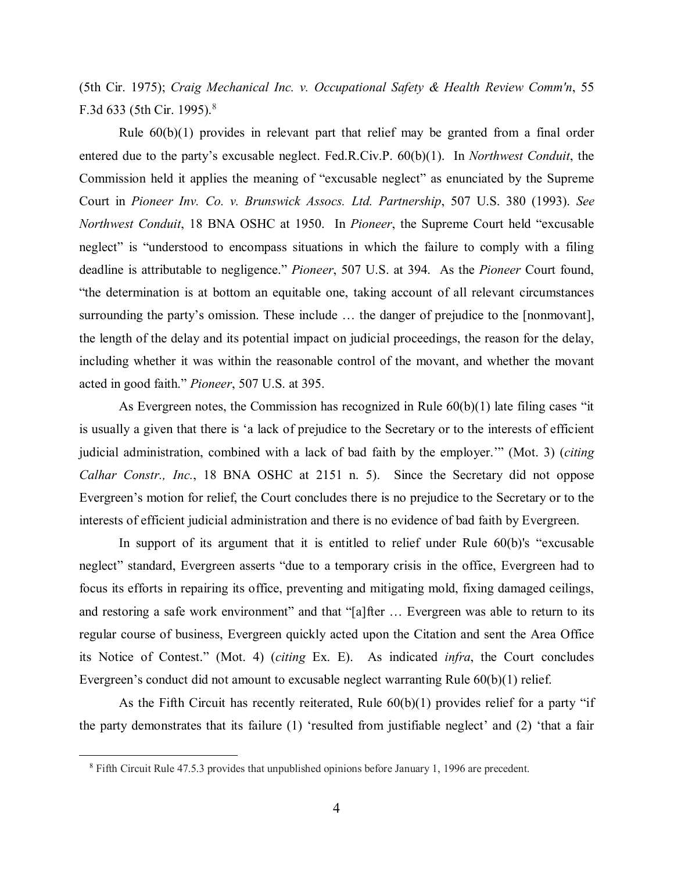(5th Cir. 1975); *Craig Mechanical Inc. v. Occupational Safety & Health Review Comm'n*, 55 F.3d 633 (5th Cir. 1995).<sup>[8](#page-8-0)</sup>

Rule 60(b)(1) provides in relevant part that relief may be granted from a final order entered due to the party's excusable neglect. Fed.R.Civ.P. 60(b)(1). In *Northwest Conduit*, the Commission held it applies the meaning of "excusable neglect" as enunciated by the Supreme Court in *Pioneer Inv. Co. v. Brunswick Assocs. Ltd. Partnership*, 507 U.S. 380 (1993). *See Northwest Conduit*, 18 BNA OSHC at 1950. In *Pioneer*, the Supreme Court held "excusable neglect" is "understood to encompass situations in which the failure to comply with a filing deadline is attributable to negligence." *Pioneer*, 507 U.S. at 394. As the *Pioneer* Court found, "the determination is at bottom an equitable one, taking account of all relevant circumstances surrounding the party's omission. These include … the danger of prejudice to the [nonmovant], the length of the delay and its potential impact on judicial proceedings, the reason for the delay, including whether it was within the reasonable control of the movant, and whether the movant acted in good faith." *Pioneer*, 507 U.S. at 395.

As Evergreen notes, the Commission has recognized in Rule 60(b)(1) late filing cases "it is usually a given that there is 'a lack of prejudice to the Secretary or to the interests of efficient judicial administration, combined with a lack of bad faith by the employer.'" (Mot. 3) (*citing Calhar Constr., Inc.*, 18 BNA OSHC at 2151 n. 5). Since the Secretary did not oppose Evergreen's motion for relief, the Court concludes there is no prejudice to the Secretary or to the interests of efficient judicial administration and there is no evidence of bad faith by Evergreen.

In support of its argument that it is entitled to relief under Rule 60(b)'s "excusable neglect" standard, Evergreen asserts "due to a temporary crisis in the office, Evergreen had to focus its efforts in repairing its office, preventing and mitigating mold, fixing damaged ceilings, and restoring a safe work environment" and that "[a]fter ... Evergreen was able to return to its regular course of business, Evergreen quickly acted upon the Citation and sent the Area Office its Notice of Contest." (Mot. 4) (*citing* Ex. E). As indicated *infra*, the Court concludes Evergreen's conduct did not amount to excusable neglect warranting Rule 60(b)(1) relief.

As the Fifth Circuit has recently reiterated, Rule 60(b)(1) provides relief for a party "if the party demonstrates that its failure (1) 'resulted from justifiable neglect' and (2) 'that a fair

<span id="page-8-0"></span> <sup>8</sup> Fifth Circuit Rule 47.5.3 provides that unpublished opinions before January 1, 1996 are precedent.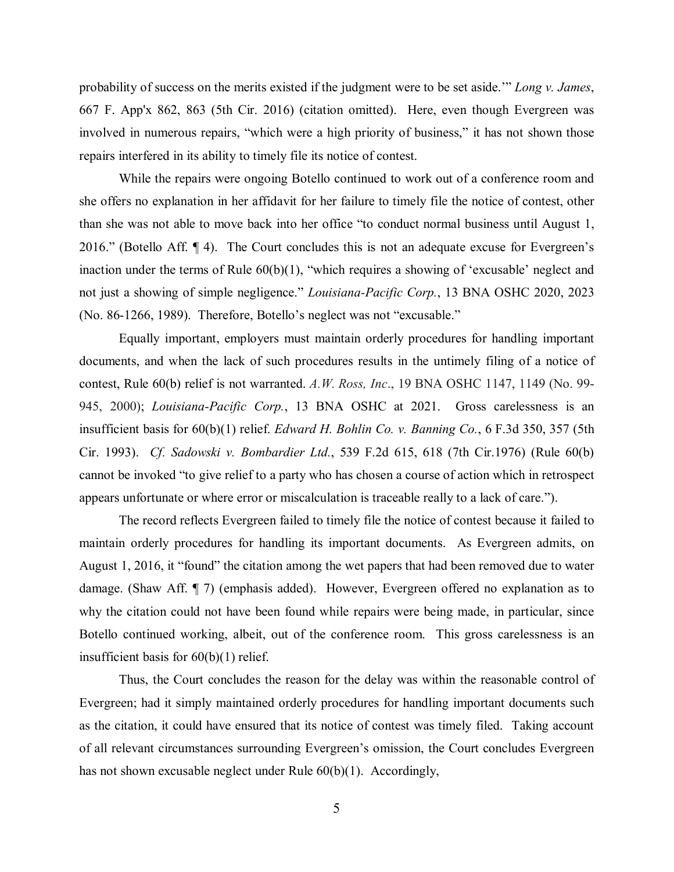probability of success on the merits existed if the judgment were to be set aside.'" *Long v. James*, 667 F. App'x 862, 863 (5th Cir. 2016) (citation omitted). Here, even though Evergreen was involved in numerous repairs, "which were a high priority of business," it has not shown those repairs interfered in its ability to timely file its notice of contest.

While the repairs were ongoing Botello continued to work out of a conference room and she offers no explanation in her affidavit for her failure to timely file the notice of contest, other than she was not able to move back into her office "to conduct normal business until August 1, 2016." (Botello Aff. ¶ 4). The Court concludes this is not an adequate excuse for Evergreen's inaction under the terms of Rule 60(b)(1), "which requires a showing of 'excusable' neglect and not just a showing of simple negligence." *Louisiana-Pacific Corp.*, 13 BNA OSHC 2020, 2023 (No. 86-1266, 1989). Therefore, Botello's neglect was not "excusable."

Equally important, employers must maintain orderly procedures for handling important documents, and when the lack of such procedures results in the untimely filing of a notice of contest, Rule 60(b) relief is not warranted. *A.W. Ross, Inc*., 19 BNA OSHC 1147, 1149 (No. 99- 945, 2000); *Louisiana-Pacific Corp.*, 13 BNA OSHC at 2021. Gross carelessness is an insufficient basis for 60(b)(1) relief. *Edward H. Bohlin Co. v. Banning Co.*, 6 F.3d 350, 357 (5th Cir. 1993). *Cf. Sadowski v. Bombardier Ltd.*, 539 F.2d 615, 618 (7th Cir.1976) (Rule 60(b) cannot be invoked "to give relief to a party who has chosen a course of action which in retrospect appears unfortunate or where error or miscalculation is traceable really to a lack of care.").

The record reflects Evergreen failed to timely file the notice of contest because it failed to maintain orderly procedures for handling its important documents. As Evergreen admits, on August 1, 2016, it "found" the citation among the wet papers that had been removed due to water damage. (Shaw Aff. ¶ 7) (emphasis added). However, Evergreen offered no explanation as to why the citation could not have been found while repairs were being made, in particular, since Botello continued working, albeit, out of the conference room. This gross carelessness is an insufficient basis for 60(b)(1) relief.

Thus, the Court concludes the reason for the delay was within the reasonable control of Evergreen; had it simply maintained orderly procedures for handling important documents such as the citation, it could have ensured that its notice of contest was timely filed. Taking account of all relevant circumstances surrounding Evergreen's omission, the Court concludes Evergreen has not shown excusable neglect under Rule 60(b)(1). Accordingly,